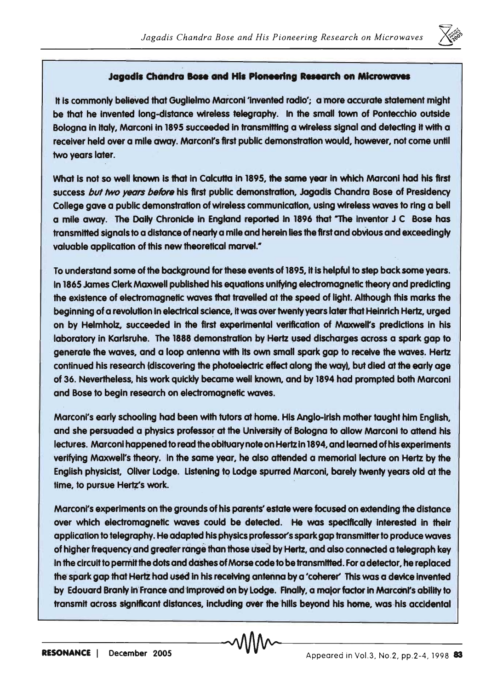

## **Jagadis Chandra Bose and His Pioneering Research on Microwaves**

It is commonly believed that Gualielmo Marconi 'invented radio'; a more accurate statement might be that he Invented long-dIstance wireless telegraphy. In the small town of Pontecchlo outside Bologna in Italy, Marconi in 1895 succeeded in transmitting a wireless signal and detecting it with a receiver held over a mile away. Marconi's first public demonstration would, however, not come until two years later.

What is not so well known is that in Calcutta in 1895, the same year in which Marconi had his first success but two years before his first public demonstration, Jagadis Chandra Bose of Presidency College gave a pUblic demonstration of wireless communication, using wireless waves to ring a bell a mile away. The Daily Chronicle In England reported In 1896 that "The Inventor J C Bose has transmitted signals to a distance of nearly a mile and herein lies the first and obvious and exceedingly valuable application of this new theoretical marvel."

To understand some of the background for these events of 1895, it is helpful to step back some years. In 1865 James Clerk Maxwell published his equations unifying electromagnetic theory and predicting the existence of electromagnetic waves that travelled at the speed of light. Although this marks the beginning of a revolution in electrical science, it was over twenty years later that Heinrich Hertz. urged on by Helmholz, succeeded in the first experimental verification of Maxwell's predictions in his laboratory in Karlsruhe. The 1888 demonstration by Hertz used discharges across a spark gap to generate the waves, and a loop antenna with its own small spark gap to receive the waves. Hertz continued his research (discovering the photoelectric effect along the way), but died at the early age of 36. Nevertheless, his work quickly became well known, and by 1894 had prompted both Marconi and Bose to begin research on electromagnetic waves.

Marconi's early schooling had been with tutors at home. His Anglo-Irish mother taught him English, and she persuaded a physics professor at the University of Bologna to allow Marconi to attend his lectures. Marconi happened to read the obituary note on Hertz In 1894, and learned of his experiments verifying Maxwell's theory. In the same year, he also attended a memorial lecture on Hertz by the English physicist, Oliver Lodge. Listening to Lodge spurred Marconi, barely twenty years old at the time, to pursue Hertz's work.

Marconi's experiments on the grounds of his parents' estate were focused on extending the distance over which electromagnetic waves could be detected. He was specifically interested in their application to telegraphy. He adapted his physics professor's spark gap transmitter to produce waves of higher frequency and greaferrangethanthose Used by Hertz, and also connected a telegraph key in the circuit to pemiitthe dots and dashes of Morse code to be transmitted. For a detector, he replaced the spark gap that Hertz had used in his receiving antenna by a 'coherer' This was a device invented by Edouard Branly in France and improved on by Lodge. Finally, a major factor in Marconi's ability to transmit across significant distances, including over the hills beyond his home, was his accidental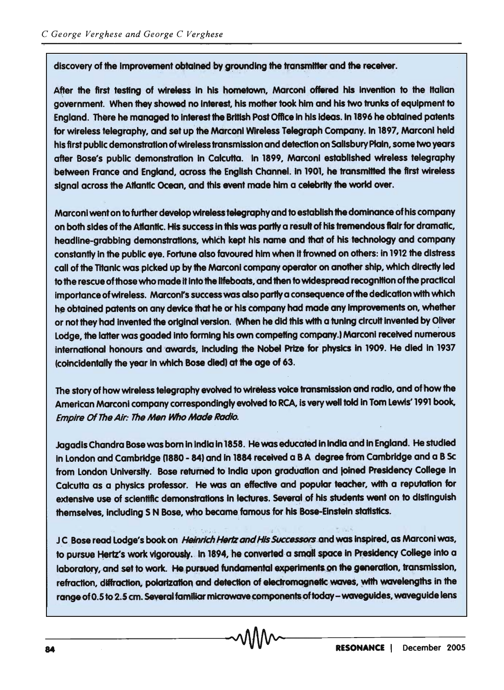discovery of the improvement obtained by grounding the transmitter and the receiver.

After the first testing of wireless in his hometown. Marconi offered his invention to the Italian government. When they showed no interest, his mother took him and his two trunks of equipment to England. There he managed to interest the British Post Office in his ideas. In 1896 he obtained patents for wireless telegraphy, and set up the Marconi Wireless Telegraph Company. In 1897, Marconi held his first public demonstration of wireless transmission and detection on Salisbury Plain, some two years after Bose's public demonstration in Calcutta. In 1899, Marconi established wireless telegraphy between France and England, across the English Channel. in 1901, he transmitted the first wireless signal across the Atlantic Ocean, and this event made him a celebrity the world over.

Marconi went on to further develop wireless telegraphy and to establish the dominance of his company on both sides of the Atlantic. His success in this was partly a result of his tremendous flair for dramatic, headline-grabbing demonstrations, which kept his name and that of his technology and company constantly in the public eve. Fortune also favoured him when it frowned on others: in 1912 the distress call of the Titanic was picked up by the Marconi company operator on another ship, which directly led to the rescue of those who made it into the lifeboats, and then to widespread recognition of the practical importance of wireless. Marconi's success was also partly a consequence of the dedication with which he obtained patents on any device that he or his company had made any improvements on, whether or not they had invented the original version. (When he did this with a tuning circuit invented by Oliver Lodge, the latter was goaded into forming his own competing company.) Marconi received numerous international honours and awards, including the Nobel Prize for physics in 1909. He died in 1937 (coincidentally the year in which Bose died) at the age of 63.

The story of how wireless telegraphy evolved to wireless voice transmission and radio, and of how the American Marconi company correspondingly evolved to RCA, is very well told in Tom Lewis' 1991 book, Empire Of The Air: The Men Who Made Radio.

Jagadis Chandra Bose was born in India in 1858. He was educated in India and in England. He studied in London and Cambridge (1880 - 84) and in 1884 received a B A degree from Cambridge and a B Sc from London University. Bose returned to India upon graduation and joined Presidency College in Calcutta as a physics professor. He was an effective and popular teacher, with a reputation for extensive use of scientific demonstrations in lectures. Several of his students went on to distinguish themselves, including S N Bose, who became famous for his Bose-Einstein statistics.

JC Bose read Lodge's book on Heinrich Hertz and His Successors and was inspired, as Marconi was, to pursue Hertz's work vigorously. In 1894, he converted a small space in Presidency College into a laboratory, and set to work. He pursued fundamental experiments on the generation, transmission, refraction, diffraction, polarization and detection of electromagnetic waves, with wavelengths in the range of 0.5 to 2.5 cm. Several familiar microwave components of today - waveguides, waveguide lens